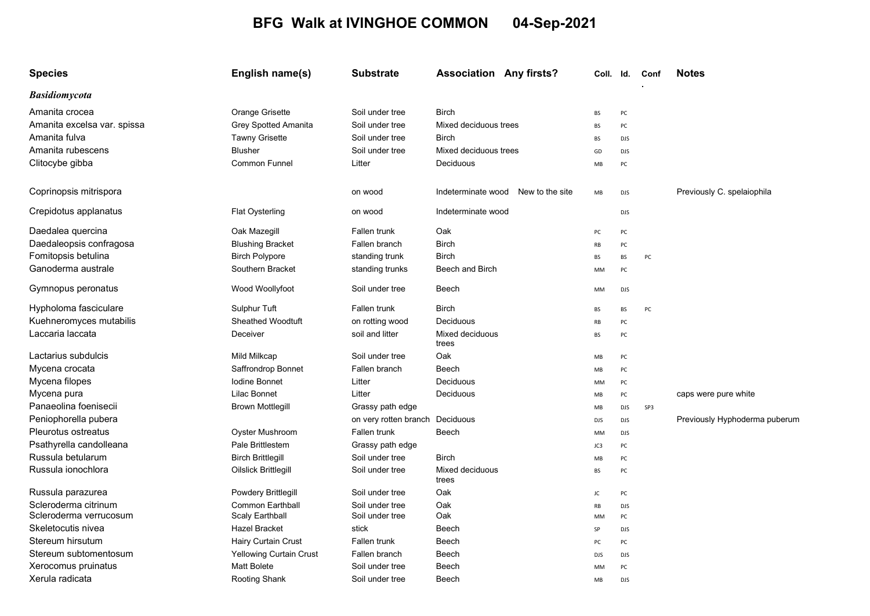## BFG Walk at IVINGHOE COMMON 04-Sep-2021

| <b>Species</b>              | English name(s)                | <b>Substrate</b>                | <b>Association Any firsts?</b>        | Coll. Id.  |            | Conf | <b>Notes</b>                  |
|-----------------------------|--------------------------------|---------------------------------|---------------------------------------|------------|------------|------|-------------------------------|
| <b>Basidiomycota</b>        |                                |                                 |                                       |            |            |      |                               |
| Amanita crocea              | Orange Grisette                | Soil under tree                 | <b>Birch</b>                          | BS         | PC         |      |                               |
| Amanita excelsa var. spissa | <b>Grey Spotted Amanita</b>    | Soil under tree                 | Mixed deciduous trees                 | BS         | PC         |      |                               |
| Amanita fulva               | <b>Tawny Grisette</b>          | Soil under tree                 | <b>Birch</b>                          | <b>BS</b>  | <b>DJS</b> |      |                               |
| Amanita rubescens           | <b>Blusher</b>                 | Soil under tree                 | Mixed deciduous trees                 | GD         | <b>DJS</b> |      |                               |
| Clitocybe gibba             | Common Funnel                  | Litter                          | Deciduous                             | MB         | PC         |      |                               |
| Coprinopsis mitrispora      |                                | on wood                         | Indeterminate wood<br>New to the site | MB         | <b>DJS</b> |      | Previously C. spelaiophila    |
| Crepidotus applanatus       | Flat Oysterling                | on wood                         | Indeterminate wood                    |            | <b>DJS</b> |      |                               |
| Daedalea quercina           | Oak Mazegill                   | Fallen trunk                    | Oak                                   | PC         | PC         |      |                               |
| Daedaleopsis confragosa     | <b>Blushing Bracket</b>        | Fallen branch                   | <b>Birch</b>                          | RB         | PC         |      |                               |
| Fomitopsis betulina         | <b>Birch Polypore</b>          | standing trunk                  | <b>Birch</b>                          | BS         | BS         | PC   |                               |
| Ganoderma australe          | Southern Bracket               | standing trunks                 | Beech and Birch                       | MM         | PC         |      |                               |
| Gymnopus peronatus          | Wood Woollyfoot                | Soil under tree                 | Beech                                 | МM         | <b>DJS</b> |      |                               |
| Hypholoma fasciculare       | Sulphur Tuft                   | Fallen trunk                    | <b>Birch</b>                          | <b>BS</b>  | <b>BS</b>  | PC   |                               |
| Kuehneromyces mutabilis     | <b>Sheathed Woodtuft</b>       | on rotting wood                 | Deciduous                             | RB         | PC         |      |                               |
| Laccaria laccata            | Deceiver                       | soil and litter                 | Mixed deciduous<br>trees              | BS         | PC         |      |                               |
| Lactarius subdulcis         | Mild Milkcap                   | Soil under tree                 | Oak                                   | MB         | PC         |      |                               |
| Mycena crocata              | Saffrondrop Bonnet             | Fallen branch                   | Beech                                 | MB         | PC         |      |                               |
| Mycena filopes              | <b>Iodine Bonnet</b>           | Litter                          | Deciduous                             | MM         | PC         |      |                               |
| Mycena pura                 | Lilac Bonnet                   | Litter                          | Deciduous                             | MB         | PC         |      | caps were pure white          |
| Panaeolina foenisecii       | <b>Brown Mottlegill</b>        | Grassy path edge                |                                       | MB         | <b>DJS</b> | SP3  |                               |
| Peniophorella pubera        |                                | on very rotten branch Deciduous |                                       | <b>DJS</b> | <b>DJS</b> |      | Previously Hyphoderma puberum |
| Pleurotus ostreatus         | Oyster Mushroom                | Fallen trunk                    | Beech                                 | MM         | <b>DJS</b> |      |                               |
| Psathyrella candolleana     | <b>Pale Brittlestem</b>        | Grassy path edge                |                                       | JC3        | PC         |      |                               |
| Russula betularum           | <b>Birch Brittlegill</b>       | Soil under tree                 | <b>Birch</b>                          | MB         | PC         |      |                               |
| Russula ionochlora          | Oilslick Brittlegill           | Soil under tree                 | Mixed deciduous<br>trees              | <b>BS</b>  | PC         |      |                               |
| Russula parazurea           | Powdery Brittlegill            | Soil under tree                 | Oak                                   | JC         | PC         |      |                               |
| Scleroderma citrinum        | <b>Common Earthball</b>        | Soil under tree                 | Oak                                   | RB         | <b>DJS</b> |      |                               |
| Scleroderma verrucosum      | Scaly Earthball                | Soil under tree                 | Oak                                   | MM         | PC         |      |                               |
| Skeletocutis nivea          | <b>Hazel Bracket</b>           | stick                           | Beech                                 | SP         | <b>DJS</b> |      |                               |
| Stereum hirsutum            | <b>Hairy Curtain Crust</b>     | Fallen trunk                    | Beech                                 | PC         | PC         |      |                               |
| Stereum subtomentosum       | <b>Yellowing Curtain Crust</b> | Fallen branch                   | Beech                                 | <b>DJS</b> | <b>DJS</b> |      |                               |
| Xerocomus pruinatus         | Matt Bolete                    | Soil under tree                 | Beech                                 | MM         | PC         |      |                               |
| Xerula radicata             | Rooting Shank                  | Soil under tree                 | Beech                                 | MB         | <b>DJS</b> |      |                               |